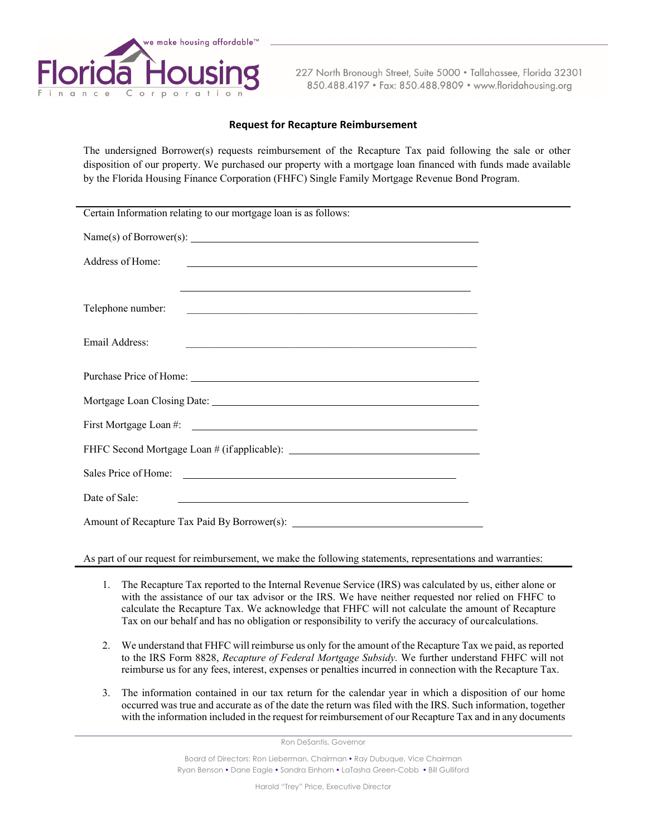

227 North Bronough Street, Suite 5000 · Tallahassee, Florida 32301 850.488.4197 · Fax: 850.488.9809 · www.floridahousing.org

## **Request for Recapture Reimbursement**

The undersigned Borrower(s) requests reimbursement of the Recapture Tax paid following the sale or other disposition of our property. We purchased our property with a mortgage loan financed with funds made available by the Florida Housing Finance Corporation (FHFC) Single Family Mortgage Revenue Bond Program.

| Certain Information relating to our mortgage loan is as follows:                                                                         |
|------------------------------------------------------------------------------------------------------------------------------------------|
| Name(s) of Borrower(s):                                                                                                                  |
| Address of Home:<br><u> Alexandro de la contrada de la contrada de la contrada de la contrada de la contrada de la contrada de la co</u> |
| <u> 1999 - Johann Stoff, amerikansk politiker (d. 1989)</u>                                                                              |
| Telephone number:<br><u> 1989 - Johann Stein, mars and deur de Brandenburg (b. 1989)</u>                                                 |
| Email Address:<br><u> 1989 - Johann Barn, mars ann an t-Amhain ann an t-Amhain an t-Amhain an t-Amhain an t-Amhain an t-Amhain an t-</u> |
|                                                                                                                                          |
|                                                                                                                                          |
|                                                                                                                                          |
| FHFC Second Mortgage Loan # (if applicable): ___________________________________                                                         |
|                                                                                                                                          |
| Date of Sale:<br><u> 1989 - Johann Stoff, deutscher Stoffen und der Stoffen und der Stoffen und der Stoffen und der Stoffen und der</u>  |
|                                                                                                                                          |

As part of our request for reimbursement, we make the following statements, representations and warranties:

- 1. The Recapture Tax reported to the Internal Revenue Service (IRS) was calculated by us, either alone or with the assistance of our tax advisor or the IRS. We have neither requested nor relied on FHFC to calculate the Recapture Tax. We acknowledge that FHFC will not calculate the amount of Recapture Tax on our behalf and has no obligation or responsibility to verify the accuracy of our calculations.
- 2. We understand that FHFC will reimburse us only for the amount of the Recapture Tax we paid, as reported to the IRS Form 8828, *Recapture of Federal Mortgage Subsidy.* We further understand FHFC will not reimburse us for any fees, interest, expenses or penalties incurred in connection with the Recapture Tax.
- 3. The information contained in our tax return for the calendar year in which a disposition of our home occurred was true and accurate as of the date the return was filed with the IRS. Such information, together with the information included in the request for reimbursement of our Recapture Tax and in any documents

Ron DeSantis, Governor

Board of Directors: Ron Lieberman, Chairman • Ray Dubuque, Vice Chairman Ryan Benson • Dane Eagle • Sandra Einhorn • LaTasha Green-Cobb • Bill Gulliford